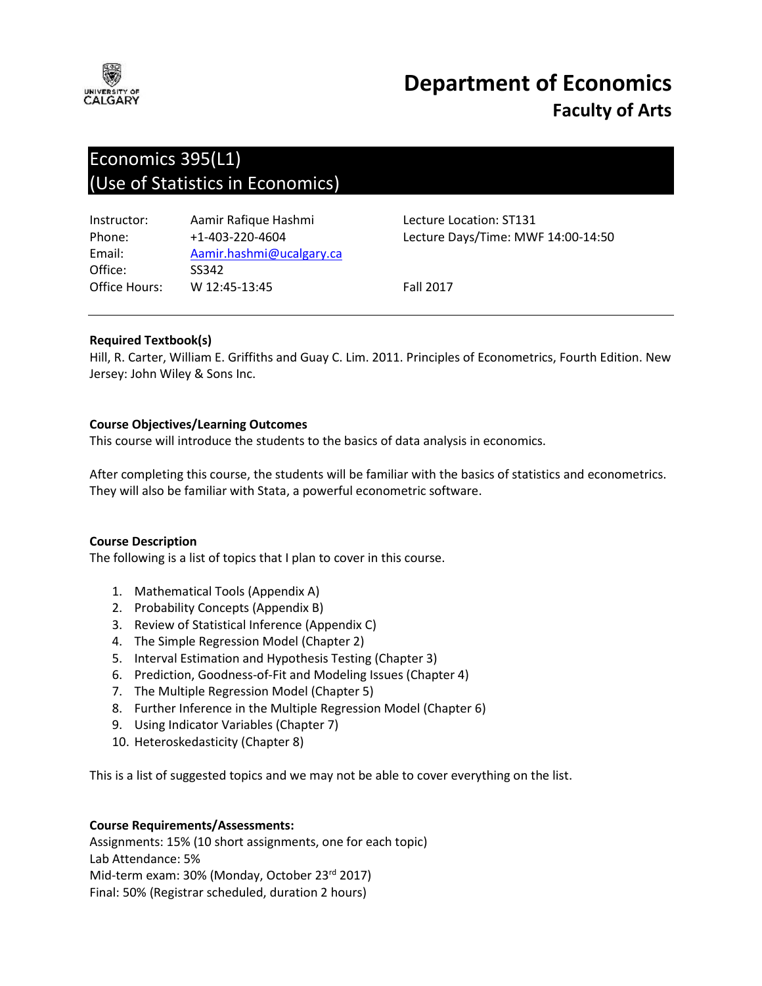

# **Department of Economics Faculty of Arts**

# Economics 395(L1) (Use of Statistics in Economics)

| Aamir.hashmi@ucalgary.ca |
|--------------------------|
|                          |
|                          |
|                          |

Lecture Location: ST131 Lecture Days/Time: MWF 14:00-14:50

**Fall 2017** 

# **Required Textbook(s)**

Hill, R. Carter, William E. Griffiths and Guay C. Lim. 2011. Principles of Econometrics, Fourth Edition. New Jersey: John Wiley & Sons Inc.

# **Course Objectives/Learning Outcomes**

This course will introduce the students to the basics of data analysis in economics.

After completing this course, the students will be familiar with the basics of statistics and econometrics. They will also be familiar with Stata, a powerful econometric software.

#### **Course Description**

The following is a list of topics that I plan to cover in this course.

- 1. Mathematical Tools (Appendix A)
- 2. Probability Concepts (Appendix B)
- 3. Review of Statistical Inference (Appendix C)
- 4. The Simple Regression Model (Chapter 2)
- 5. Interval Estimation and Hypothesis Testing (Chapter 3)
- 6. Prediction, Goodness-of-Fit and Modeling Issues (Chapter 4)
- 7. The Multiple Regression Model (Chapter 5)
- 8. Further Inference in the Multiple Regression Model (Chapter 6)
- 9. Using Indicator Variables (Chapter 7)
- 10. Heteroskedasticity (Chapter 8)

This is a list of suggested topics and we may not be able to cover everything on the list.

#### **Course Requirements/Assessments:**

Assignments: 15% (10 short assignments, one for each topic) Lab Attendance: 5% Mid-term exam: 30% (Monday, October 23rd 2017) Final: 50% (Registrar scheduled, duration 2 hours)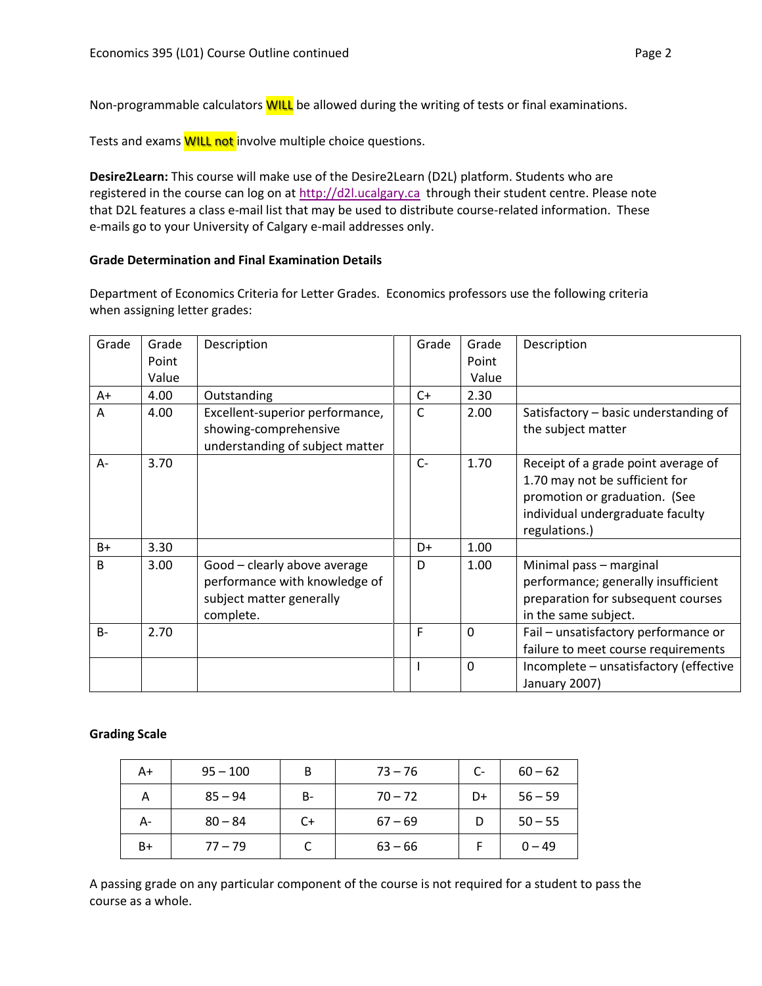Non-programmable calculators **WILL** be allowed during the writing of tests or final examinations.

Tests and exams **WILL not** involve multiple choice questions.

**Desire2Learn:** This course will make use of the Desire2Learn (D2L) platform. Students who are registered in the course can log on at [http://d2l.ucalgary.ca](http://d2l.ucalgary.ca/) through their student centre. Please note that D2L features a class e-mail list that may be used to distribute course-related information. These e-mails go to your University of Calgary e-mail addresses only.

# **Grade Determination and Final Examination Details**

Department of Economics Criteria for Letter Grades. Economics professors use the following criteria when assigning letter grades:

| Grade        | Grade | Description                                                                                            | Grade | Grade        | Description                                                                                                                                                 |
|--------------|-------|--------------------------------------------------------------------------------------------------------|-------|--------------|-------------------------------------------------------------------------------------------------------------------------------------------------------------|
|              | Point |                                                                                                        |       | Point        |                                                                                                                                                             |
|              | Value |                                                                                                        |       | Value        |                                                                                                                                                             |
| A+           | 4.00  | Outstanding                                                                                            | $C+$  | 2.30         |                                                                                                                                                             |
| A            | 4.00  | Excellent-superior performance,<br>showing-comprehensive<br>understanding of subject matter            | C     | 2.00         | Satisfactory - basic understanding of<br>the subject matter                                                                                                 |
| $A -$        | 3.70  |                                                                                                        | $C-$  | 1.70         | Receipt of a grade point average of<br>1.70 may not be sufficient for<br>promotion or graduation. (See<br>individual undergraduate faculty<br>regulations.) |
| $B+$         | 3.30  |                                                                                                        | D+    | 1.00         |                                                                                                                                                             |
| <sub>B</sub> | 3.00  | Good - clearly above average<br>performance with knowledge of<br>subject matter generally<br>complete. | D     | 1.00         | Minimal pass - marginal<br>performance; generally insufficient<br>preparation for subsequent courses<br>in the same subject.                                |
| $B -$        | 2.70  |                                                                                                        | F     | $\mathbf 0$  | Fail - unsatisfactory performance or<br>failure to meet course requirements                                                                                 |
|              |       |                                                                                                        |       | $\mathbf{0}$ | Incomplete - unsatisfactory (effective<br>January 2007)                                                                                                     |

#### **Grading Scale**

| A+ | $95 - 100$ | B  | $73 - 76$ | $C-$ | $60 - 62$ |
|----|------------|----|-----------|------|-----------|
| А  | $85 - 94$  | B- | $70 - 72$ | D+   | $56 - 59$ |
| А- | $80 - 84$  | C+ | $67 - 69$ | D    | $50 - 55$ |
| B+ | $77 - 79$  |    | $63 - 66$ |      | $0 - 49$  |

A passing grade on any particular component of the course is not required for a student to pass the course as a whole.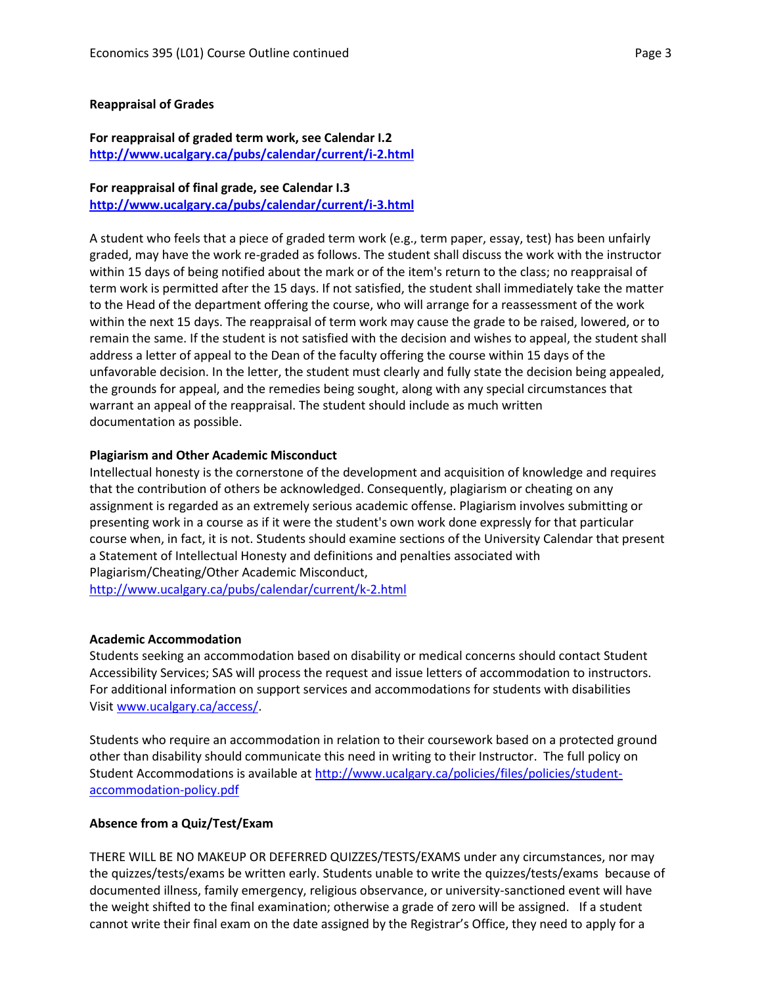#### **Reappraisal of Grades**

#### **For reappraisal of graded term work, see Calendar I.2 <http://www.ucalgary.ca/pubs/calendar/current/i-2.html>**

# **For reappraisal of final grade, see Calendar I.3 <http://www.ucalgary.ca/pubs/calendar/current/i-3.html>**

A student who feels that a piece of graded term work (e.g., term paper, essay, test) has been unfairly graded, may have the work re-graded as follows. The student shall discuss the work with the instructor within 15 days of being notified about the mark or of the item's return to the class; no reappraisal of term work is permitted after the 15 days. If not satisfied, the student shall immediately take the matter to the Head of the department offering the course, who will arrange for a reassessment of the work within the next 15 days. The reappraisal of term work may cause the grade to be raised, lowered, or to remain the same. If the student is not satisfied with the decision and wishes to appeal, the student shall address a letter of appeal to the Dean of the faculty offering the course within 15 days of the unfavorable decision. In the letter, the student must clearly and fully state the decision being appealed, the grounds for appeal, and the remedies being sought, along with any special circumstances that warrant an appeal of the reappraisal. The student should include as much written documentation as possible.

#### **Plagiarism and Other Academic Misconduct**

Intellectual honesty is the cornerstone of the development and acquisition of knowledge and requires that the contribution of others be acknowledged. Consequently, plagiarism or cheating on any assignment is regarded as an extremely serious academic offense. Plagiarism involves submitting or presenting work in a course as if it were the student's own work done expressly for that particular course when, in fact, it is not. Students should examine sections of the University Calendar that present a Statement of Intellectual Honesty and definitions and penalties associated with Plagiarism/Cheating/Other Academic Misconduct, <http://www.ucalgary.ca/pubs/calendar/current/k-2.html>

#### **Academic Accommodation**

Students seeking an accommodation based on disability or medical concerns should contact Student Accessibility Services; SAS will process the request and issue letters of accommodation to instructors. For additional information on support services and accommodations for students with disabilities Visit [www.ucalgary.ca/access/.](http://www.ucalgary.ca/access/)

Students who require an accommodation in relation to their coursework based on a protected ground other than disability should communicate this need in writing to their Instructor. The full policy on Student Accommodations is available at [http://www.ucalgary.ca/policies/files/policies/student](http://www.ucalgary.ca/policies/files/policies/student-accommodation-policy.pdf)[accommodation-policy.pdf](http://www.ucalgary.ca/policies/files/policies/student-accommodation-policy.pdf)

#### **Absence from a Quiz/Test/Exam**

THERE WILL BE NO MAKEUP OR DEFERRED QUIZZES/TESTS/EXAMS under any circumstances, nor may the quizzes/tests/exams be written early. Students unable to write the quizzes/tests/exams because of documented illness, family emergency, religious observance, or university-sanctioned event will have the weight shifted to the final examination; otherwise a grade of zero will be assigned. If a student cannot write their final exam on the date assigned by the Registrar's Office, they need to apply for a